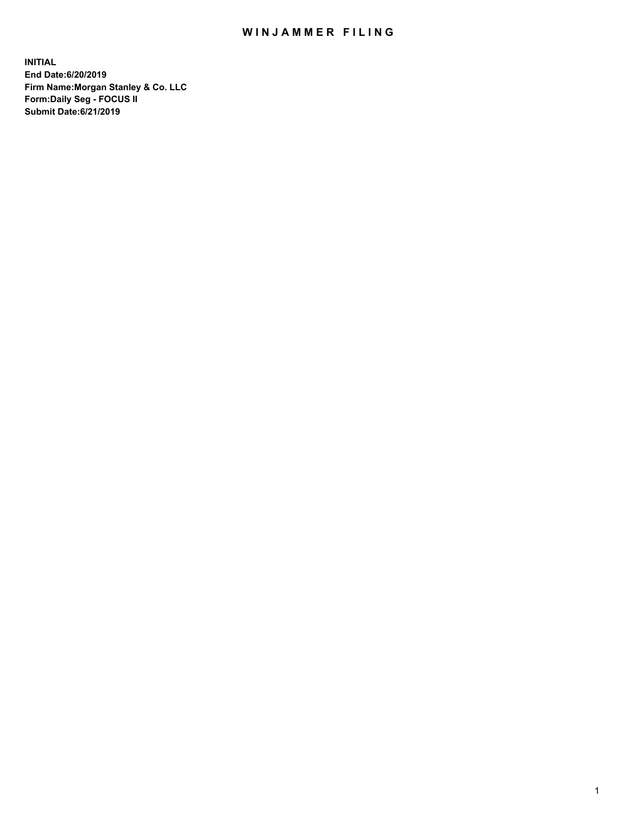## WIN JAMMER FILING

**INITIAL End Date:6/20/2019 Firm Name:Morgan Stanley & Co. LLC Form:Daily Seg - FOCUS II Submit Date:6/21/2019**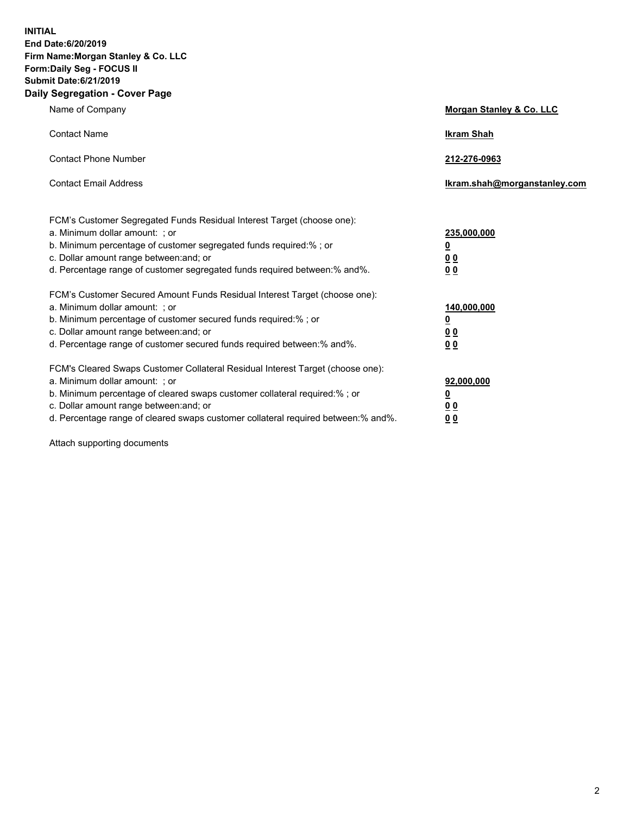**INITIAL End Date:6/20/2019 Firm Name:Morgan Stanley & Co. LLC Form:Daily Seg - FOCUS II Submit Date:6/21/2019 Daily Segregation - Cover Page**

| Name of Company                                                                                                                                                                                                                                                                                                                | Morgan Stanley & Co. LLC                               |
|--------------------------------------------------------------------------------------------------------------------------------------------------------------------------------------------------------------------------------------------------------------------------------------------------------------------------------|--------------------------------------------------------|
| <b>Contact Name</b>                                                                                                                                                                                                                                                                                                            | <b>Ikram Shah</b>                                      |
| <b>Contact Phone Number</b>                                                                                                                                                                                                                                                                                                    | 212-276-0963                                           |
| <b>Contact Email Address</b>                                                                                                                                                                                                                                                                                                   | Ikram.shah@morganstanley.com                           |
| FCM's Customer Segregated Funds Residual Interest Target (choose one):<br>a. Minimum dollar amount: ; or<br>b. Minimum percentage of customer segregated funds required:% ; or<br>c. Dollar amount range between: and; or<br>d. Percentage range of customer segregated funds required between:% and%.                         | 235,000,000<br><u>0</u><br><u>0 0</u><br>0 Q           |
| FCM's Customer Secured Amount Funds Residual Interest Target (choose one):<br>a. Minimum dollar amount: ; or<br>b. Minimum percentage of customer secured funds required:%; or<br>c. Dollar amount range between: and; or<br>d. Percentage range of customer secured funds required between:% and%.                            | 140,000,000<br><u>0</u><br><u>00</u><br>0 <sub>0</sub> |
| FCM's Cleared Swaps Customer Collateral Residual Interest Target (choose one):<br>a. Minimum dollar amount: ; or<br>b. Minimum percentage of cleared swaps customer collateral required:% ; or<br>c. Dollar amount range between: and; or<br>d. Percentage range of cleared swaps customer collateral required between:% and%. | 92,000,000<br><u>0</u><br><u>00</u><br>0 <sub>0</sub>  |

Attach supporting documents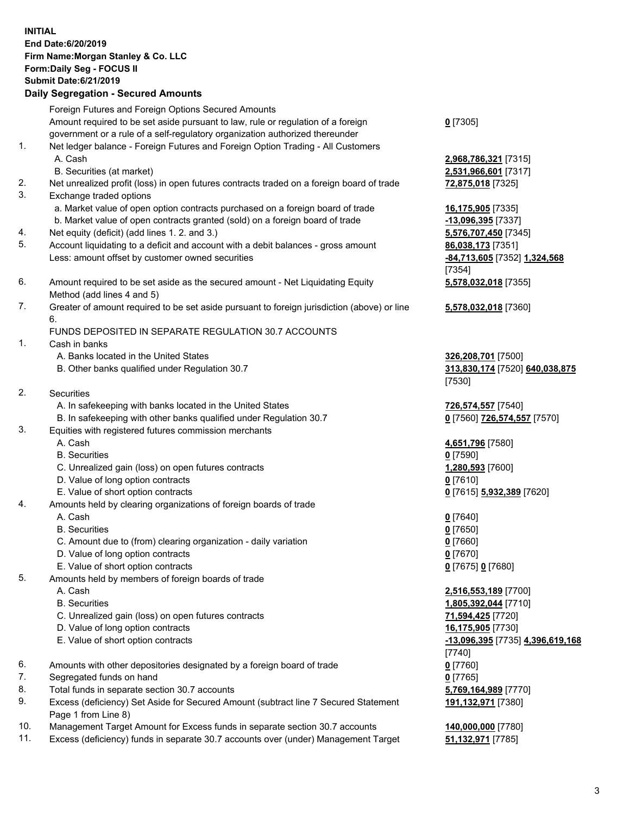## **INITIAL End Date:6/20/2019 Firm Name:Morgan Stanley & Co. LLC Form:Daily Seg - FOCUS II Submit Date:6/21/2019 Daily Segregation - Secured Amounts** Foreign Futures and Foreign Options Secured Amounts Amount required to be set aside pursuant to law, rule or regulation of a foreign government or a rule of a self-regulatory organization authorized thereunder **0** [7305] 1. Net ledger balance - Foreign Futures and Foreign Option Trading - All Customers A. Cash **2,968,786,321** [7315] B. Securities (at market) **2,531,966,601** [7317] 2. Net unrealized profit (loss) in open futures contracts traded on a foreign board of trade **72,875,018** [7325] 3. Exchange traded options a. Market value of open option contracts purchased on a foreign board of trade **16,175,905** [7335] b. Market value of open contracts granted (sold) on a foreign board of trade **-13,096,395** [7337] 4. Net equity (deficit) (add lines 1. 2. and 3.) **5,576,707,450** [7345] 5. Account liquidating to a deficit and account with a debit balances - gross amount **86,038,173** [7351] Less: amount offset by customer owned securities **-84,713,605** [7352] **1,324,568** [7354] 6. Amount required to be set aside as the secured amount - Net Liquidating Equity Method (add lines 4 and 5) **5,578,032,018** [7355] 7. Greater of amount required to be set aside pursuant to foreign jurisdiction (above) or line 6. **5,578,032,018** [7360] FUNDS DEPOSITED IN SEPARATE REGULATION 30.7 ACCOUNTS 1. Cash in banks A. Banks located in the United States **326,208,701** [7500] B. Other banks qualified under Regulation 30.7 **313,830,174** [7520] **640,038,875** [7530] 2. Securities A. In safekeeping with banks located in the United States **726,574,557** [7540] B. In safekeeping with other banks qualified under Regulation 30.7 **0** [7560] **726,574,557** [7570] 3. Equities with registered futures commission merchants A. Cash **4,651,796** [7580] B. Securities **0** [7590] C. Unrealized gain (loss) on open futures contracts **1,280,593** [7600] D. Value of long option contracts **0** [7610] E. Value of short option contracts **0** [7615] **5,932,389** [7620] 4. Amounts held by clearing organizations of foreign boards of trade A. Cash **0** [7640] B. Securities **0** [7650] C. Amount due to (from) clearing organization - daily variation **0** [7660] D. Value of long option contracts **0** [7670] E. Value of short option contracts **0** [7675] **0** [7680] 5. Amounts held by members of foreign boards of trade A. Cash **2,516,553,189** [7700] B. Securities **1,805,392,044** [7710] C. Unrealized gain (loss) on open futures contracts **71,594,425** [7720] D. Value of long option contracts **16,175,905** [7730] E. Value of short option contracts **-13,096,395** [7735] **4,396,619,168** [7740] 6. Amounts with other depositories designated by a foreign board of trade **0** [7760] 7. Segregated funds on hand **0** [7765] 8. Total funds in separate section 30.7 accounts **5,769,164,989** [7770] 9. Excess (deficiency) Set Aside for Secured Amount (subtract line 7 Secured Statement **191,132,971** [7380]

- Page 1 from Line 8)
- 10. Management Target Amount for Excess funds in separate section 30.7 accounts **140,000,000** [7780]
- 11. Excess (deficiency) funds in separate 30.7 accounts over (under) Management Target **51,132,971** [7785]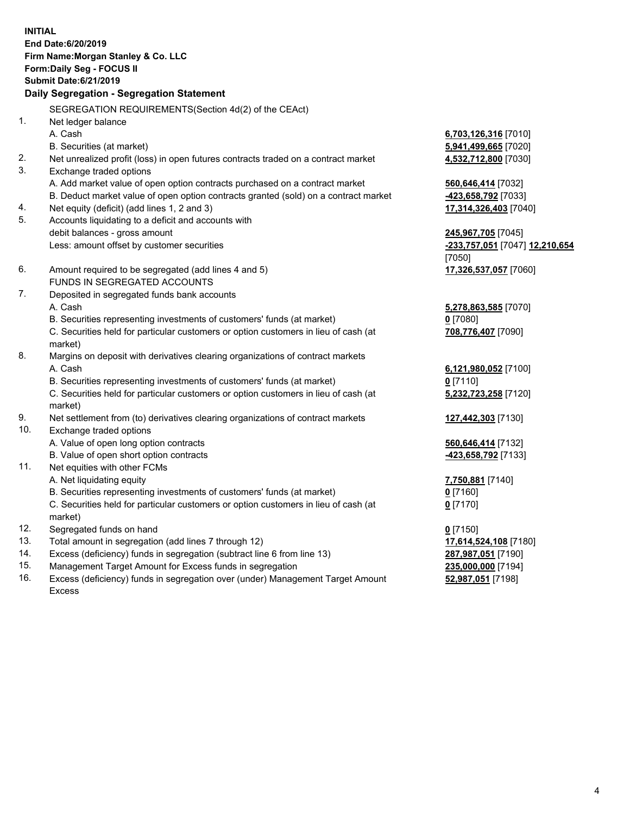**INITIAL End Date:6/20/2019 Firm Name:Morgan Stanley & Co. LLC Form:Daily Seg - FOCUS II Submit Date:6/21/2019 Daily Segregation - Segregation Statement** SEGREGATION REQUIREMENTS(Section 4d(2) of the CEAct) 1. Net ledger balance A. Cash **6,703,126,316** [7010] B. Securities (at market) **5,941,499,665** [7020] 2. Net unrealized profit (loss) in open futures contracts traded on a contract market **4,532,712,800** [7030] 3. Exchange traded options A. Add market value of open option contracts purchased on a contract market **560,646,414** [7032] B. Deduct market value of open option contracts granted (sold) on a contract market **-423,658,792** [7033] 4. Net equity (deficit) (add lines 1, 2 and 3) **17,314,326,403** [7040] 5. Accounts liquidating to a deficit and accounts with debit balances - gross amount **245,967,705** [7045] Less: amount offset by customer securities **-233,757,051** [7047] **12,210,654** [7050] 6. Amount required to be segregated (add lines 4 and 5) **17,326,537,057** [7060] FUNDS IN SEGREGATED ACCOUNTS 7. Deposited in segregated funds bank accounts A. Cash **5,278,863,585** [7070] B. Securities representing investments of customers' funds (at market) **0** [7080] C. Securities held for particular customers or option customers in lieu of cash (at market) **708,776,407** [7090] 8. Margins on deposit with derivatives clearing organizations of contract markets A. Cash **6,121,980,052** [7100] B. Securities representing investments of customers' funds (at market) **0** [7110] C. Securities held for particular customers or option customers in lieu of cash (at market) **5,232,723,258** [7120] 9. Net settlement from (to) derivatives clearing organizations of contract markets **127,442,303** [7130] 10. Exchange traded options A. Value of open long option contracts **560,646,414** [7132] B. Value of open short option contracts **-423,658,792** [7133] 11. Net equities with other FCMs A. Net liquidating equity **7,750,881** [7140] B. Securities representing investments of customers' funds (at market) **0** [7160] C. Securities held for particular customers or option customers in lieu of cash (at market) **0** [7170] 12. Segregated funds on hand **0** [7150] 13. Total amount in segregation (add lines 7 through 12) **17,614,524,108** [7180] 14. Excess (deficiency) funds in segregation (subtract line 6 from line 13) **287,987,051** [7190]

- 15. Management Target Amount for Excess funds in segregation **235,000,000** [7194]
- 16. Excess (deficiency) funds in segregation over (under) Management Target Amount Excess

**52,987,051** [7198]